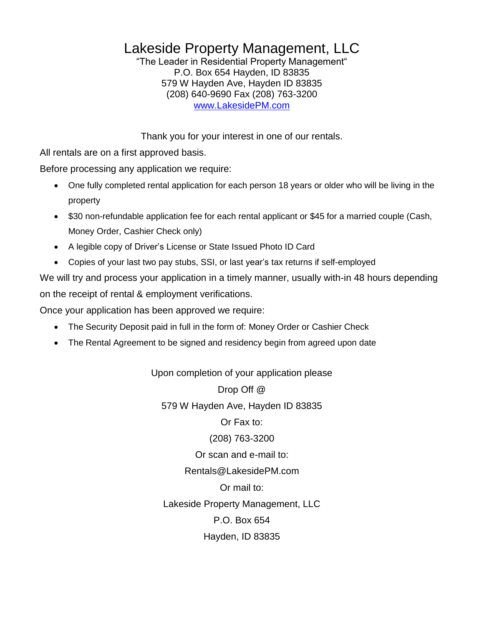# Lakeside Property Management, LLC

"The Leader in Residential Property Management" P.O. Box 654 Hayden, ID 83835 579 W Hayden Ave, Hayden ID 83835 (208) 640-9690 Fax (208) 763-3200 [www.LakesidePM.com](http://www.lakesidepm.com/)

Thank you for your interest in one of our rentals.

All rentals are on a first approved basis.

Before processing any application we require:

- One fully completed rental application for each person 18 years or older who will be living in the property
- \$30 non-refundable application fee for each rental applicant or \$45 for a married couple (Cash, Money Order, Cashier Check only)
- A legible copy of Driver's License or State Issued Photo ID Card
- Copies of your last two pay stubs, SSI, or last year's tax returns if self-employed

We will try and process your application in a timely manner, usually with-in 48 hours depending on the receipt of rental & employment verifications.

Once your application has been approved we require:

- The Security Deposit paid in full in the form of: Money Order or Cashier Check
- The Rental Agreement to be signed and residency begin from agreed upon date

Upon completion of your application please Drop Off @ 579 W Hayden Ave, Hayden ID 83835 Or Fax to: (208) 763-3200 Or scan and e-mail to: Rentals@LakesidePM.com Or mail to: Lakeside Property Management, LLC P.O. Box 654 Hayden, ID 83835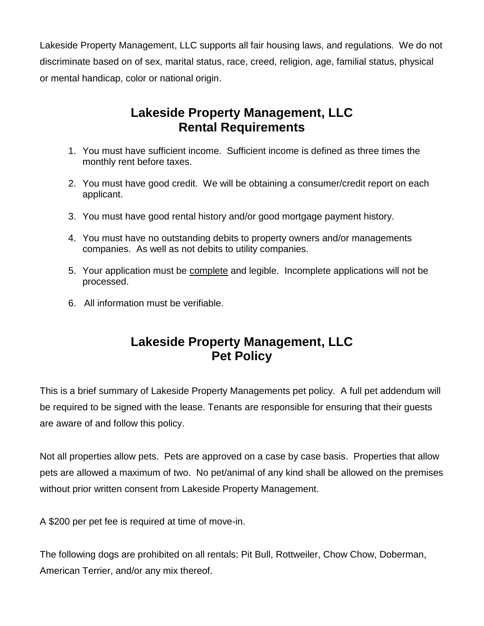Lakeside Property Management, LLC supports all fair housing laws, and regulations. We do not discriminate based on of sex, marital status, race, creed, religion, age, familial status, physical or mental handicap, color or national origin.

## **Lakeside Property Management, LLC Rental Requirements**

- 1. You must have sufficient income. Sufficient income is defined as three times the monthly rent before taxes.
- 2. You must have good credit. We will be obtaining a consumer/credit report on each applicant.
- 3. You must have good rental history and/or good mortgage payment history.
- 4. You must have no outstanding debits to property owners and/or managements companies. As well as not debits to utility companies.
- 5. Your application must be complete and legible. Incomplete applications will not be processed.
- 6. All information must be verifiable.

### **Lakeside Property Management, LLC Pet Policy**

This is a brief summary of Lakeside Property Managements pet policy. A full pet addendum will be required to be signed with the lease. Tenants are responsible for ensuring that their guests are aware of and follow this policy.

Not all properties allow pets. Pets are approved on a case by case basis. Properties that allow pets are allowed a maximum of two. No pet/animal of any kind shall be allowed on the premises without prior written consent from Lakeside Property Management.

A \$200 per pet fee is required at time of move-in.

The following dogs are prohibited on all rentals: Pit Bull, Rottweiler, Chow Chow, Doberman, American Terrier, and/or any mix thereof.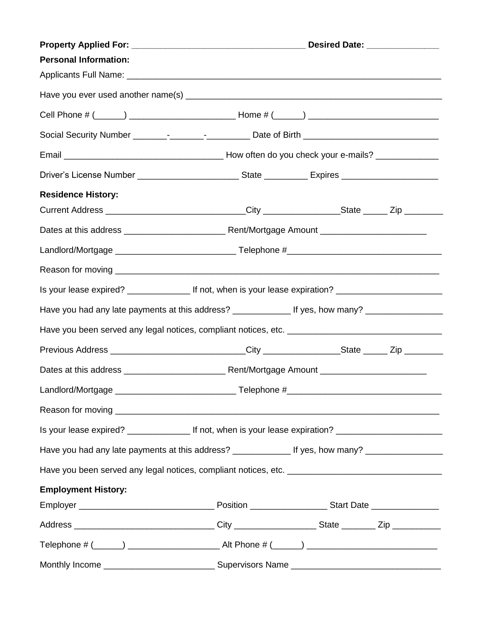|                                                                                                            | Desired Date: ________________                                                   |  |  |
|------------------------------------------------------------------------------------------------------------|----------------------------------------------------------------------------------|--|--|
| <b>Personal Information:</b>                                                                               |                                                                                  |  |  |
|                                                                                                            |                                                                                  |  |  |
|                                                                                                            |                                                                                  |  |  |
|                                                                                                            |                                                                                  |  |  |
|                                                                                                            |                                                                                  |  |  |
|                                                                                                            |                                                                                  |  |  |
|                                                                                                            |                                                                                  |  |  |
| <b>Residence History:</b>                                                                                  |                                                                                  |  |  |
| Current Address _______________________________City ________________State ______ Zip ______________        |                                                                                  |  |  |
|                                                                                                            |                                                                                  |  |  |
|                                                                                                            |                                                                                  |  |  |
|                                                                                                            |                                                                                  |  |  |
| Is your lease expired? __________________ If not, when is your lease expiration? _________________________ |                                                                                  |  |  |
| Have you had any late payments at this address? ________________ If yes, how many? _________________       |                                                                                  |  |  |
|                                                                                                            |                                                                                  |  |  |
| Previous Address ______________________________City ________________State ______ Zip ______________        |                                                                                  |  |  |
|                                                                                                            |                                                                                  |  |  |
| Landlord/Mortgage                                                                                          | Telephone #_<br><u> 1980 - Jan James James Barnett, fransk politik (d. 1980)</u> |  |  |
|                                                                                                            |                                                                                  |  |  |
| Is your lease expired? ____________________ If not, when is your lease expiration? _______________________ |                                                                                  |  |  |
| Have you had any late payments at this address? ________________ If yes, how many? _________________       |                                                                                  |  |  |
|                                                                                                            |                                                                                  |  |  |
| <b>Employment History:</b>                                                                                 |                                                                                  |  |  |
|                                                                                                            |                                                                                  |  |  |
|                                                                                                            |                                                                                  |  |  |
|                                                                                                            |                                                                                  |  |  |
|                                                                                                            |                                                                                  |  |  |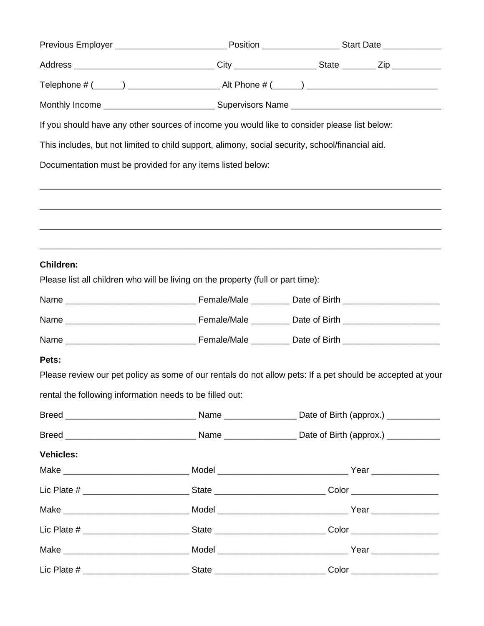| If you should have any other sources of income you would like to consider please list below:                   |                                                                                   |  |                                                                                                                |  |
|----------------------------------------------------------------------------------------------------------------|-----------------------------------------------------------------------------------|--|----------------------------------------------------------------------------------------------------------------|--|
| This includes, but not limited to child support, alimony, social security, school/financial aid.               |                                                                                   |  |                                                                                                                |  |
| Documentation must be provided for any items listed below:                                                     |                                                                                   |  |                                                                                                                |  |
|                                                                                                                | ,我们也不能在这里的人,我们也不能在这里的人,我们也不能在这里的人,我们也不能在这里的人,我们也不能在这里的人,我们也不能在这里的人,我们也不能在这里的人,我们也 |  |                                                                                                                |  |
|                                                                                                                |                                                                                   |  |                                                                                                                |  |
|                                                                                                                |                                                                                   |  |                                                                                                                |  |
| <b>Children:</b>                                                                                               |                                                                                   |  |                                                                                                                |  |
| Please list all children who will be living on the property (full or part time):                               |                                                                                   |  |                                                                                                                |  |
|                                                                                                                |                                                                                   |  |                                                                                                                |  |
|                                                                                                                |                                                                                   |  |                                                                                                                |  |
|                                                                                                                |                                                                                   |  |                                                                                                                |  |
| Pets:                                                                                                          |                                                                                   |  |                                                                                                                |  |
| Please review our pet policy as some of our rentals do not allow pets: If a pet should be accepted at your     |                                                                                   |  |                                                                                                                |  |
| rental the following information needs to be filled out:                                                       |                                                                                   |  |                                                                                                                |  |
|                                                                                                                |                                                                                   |  |                                                                                                                |  |
|                                                                                                                |                                                                                   |  |                                                                                                                |  |
| <b>Vehicles:</b>                                                                                               |                                                                                   |  |                                                                                                                |  |
|                                                                                                                |                                                                                   |  |                                                                                                                |  |
|                                                                                                                |                                                                                   |  |                                                                                                                |  |
|                                                                                                                |                                                                                   |  |                                                                                                                |  |
|                                                                                                                |                                                                                   |  | Lic Plate # _________________________________State ______________________________Color _______________________ |  |
|                                                                                                                |                                                                                   |  |                                                                                                                |  |
| Lic Plate # _________________________________State ______________________________Color _______________________ |                                                                                   |  |                                                                                                                |  |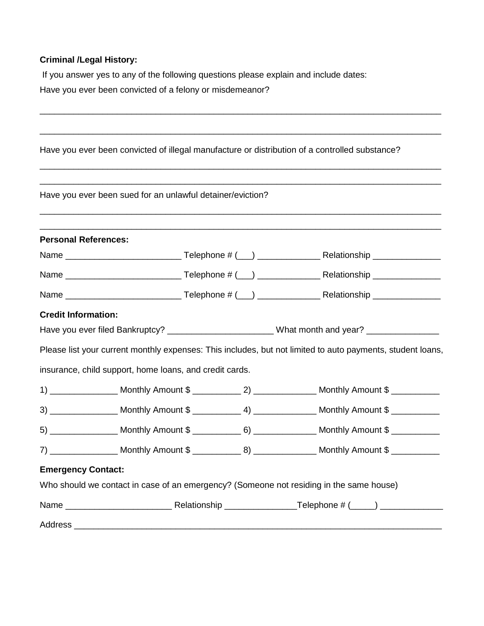#### **Criminal /Legal History:**

If you answer yes to any of the following questions please explain and include dates: Have you ever been convicted of a felony or misdemeanor?

|                             | Have you ever been convicted of illegal manufacture or distribution of a controlled substance? |                                                                                                            |
|-----------------------------|------------------------------------------------------------------------------------------------|------------------------------------------------------------------------------------------------------------|
|                             | Have you ever been sued for an unlawful detainer/eviction?                                     |                                                                                                            |
| <b>Personal References:</b> |                                                                                                |                                                                                                            |
|                             |                                                                                                |                                                                                                            |
|                             |                                                                                                |                                                                                                            |
|                             |                                                                                                |                                                                                                            |
| <b>Credit Information:</b>  |                                                                                                |                                                                                                            |
|                             | Have you ever filed Bankruptcy? _________________________What month and year? ________________ |                                                                                                            |
|                             |                                                                                                | Please list your current monthly expenses: This includes, but not limited to auto payments, student loans, |
|                             | insurance, child support, home loans, and credit cards.                                        |                                                                                                            |
|                             |                                                                                                |                                                                                                            |
|                             |                                                                                                |                                                                                                            |
|                             |                                                                                                |                                                                                                            |
|                             |                                                                                                |                                                                                                            |
| <b>Emergency Contact:</b>   |                                                                                                |                                                                                                            |
|                             | Who should we contact in case of an emergency? (Someone not residing in the same house)        |                                                                                                            |
|                             |                                                                                                |                                                                                                            |
|                             |                                                                                                |                                                                                                            |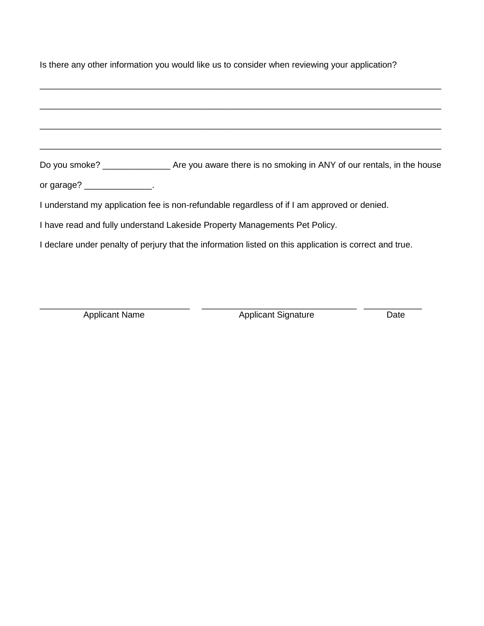| Is there any other information you would like us to consider when reviewing your application?           |  |  |  |  |
|---------------------------------------------------------------------------------------------------------|--|--|--|--|
|                                                                                                         |  |  |  |  |
|                                                                                                         |  |  |  |  |
|                                                                                                         |  |  |  |  |
|                                                                                                         |  |  |  |  |
|                                                                                                         |  |  |  |  |
| or garage? $\frac{1}{2}$ __________________.                                                            |  |  |  |  |
| I understand my application fee is non-refundable regardless of if I am approved or denied.             |  |  |  |  |
| I have read and fully understand Lakeside Property Managements Pet Policy.                              |  |  |  |  |
| I declare under penalty of perjury that the information listed on this application is correct and true. |  |  |  |  |
|                                                                                                         |  |  |  |  |

\_\_\_\_\_\_\_\_\_\_\_\_\_\_\_\_\_\_\_\_\_\_\_\_\_\_\_\_\_\_\_ \_\_\_\_\_\_\_\_\_\_\_\_\_\_\_\_\_\_\_\_\_\_\_\_\_\_\_\_\_\_\_\_ \_\_\_\_\_\_\_\_\_\_\_\_

Applicant Name Applicant Signature Date